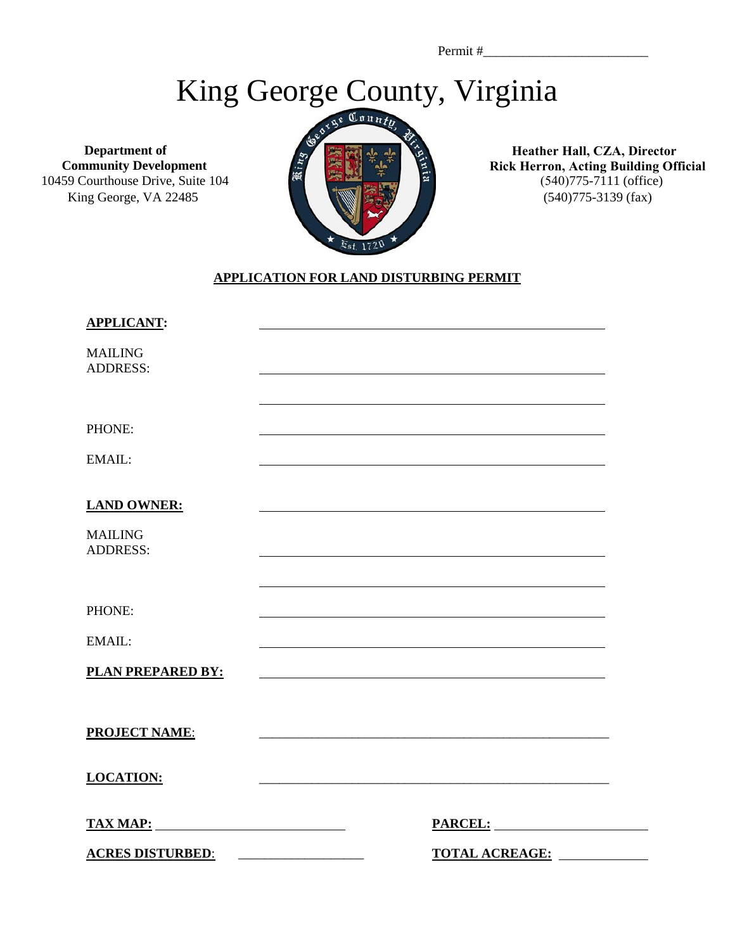Permit #\_\_\_\_\_\_\_\_\_\_\_\_\_\_\_\_\_\_\_\_\_\_\_\_\_

## King George County, Virginia

**Department of Community Development**  10459 Courthouse Drive, Suite 104 King George, VA 22485



**Heather Hall, CZA, Director Rick Herron, Acting Building Official**  (540)775-7111 (office) (540)775-3139 (fax)

## **APPLICATION FOR LAND DISTURBING PERMIT**

| <b>APPLICANT:</b>                 |                                                                                                                                                                                                                                |  |
|-----------------------------------|--------------------------------------------------------------------------------------------------------------------------------------------------------------------------------------------------------------------------------|--|
| <b>MAILING</b><br><b>ADDRESS:</b> |                                                                                                                                                                                                                                |  |
|                                   |                                                                                                                                                                                                                                |  |
| PHONE:                            |                                                                                                                                                                                                                                |  |
| EMAIL:                            |                                                                                                                                                                                                                                |  |
| <b>LAND OWNER:</b>                |                                                                                                                                                                                                                                |  |
| <b>MAILING</b><br><b>ADDRESS:</b> |                                                                                                                                                                                                                                |  |
|                                   |                                                                                                                                                                                                                                |  |
| PHONE:                            |                                                                                                                                                                                                                                |  |
| EMAIL:                            |                                                                                                                                                                                                                                |  |
| PLAN PREPARED BY:                 |                                                                                                                                                                                                                                |  |
|                                   |                                                                                                                                                                                                                                |  |
| <b>PROJECT NAME:</b>              |                                                                                                                                                                                                                                |  |
| <b>LOCATION:</b>                  |                                                                                                                                                                                                                                |  |
| <b>TAX MAP:</b>                   | PARCEL: NAME OF THE PARCEL OF THE PARCEL OF THE PARCEL OF THE PARTIES OF THE PARTIES OF THE PARTIES OF THE PARTIES OF THE PARTIES OF THE PARTIES OF THE PARTIES OF THE PARTIES OF THE PARTIES OF THE PARTIES OF THE PARTIES OF |  |
| <b>ACRES DISTURBED:</b>           | TOTAL ACREAGE:<br><u> 2000 - Januar Alexander (h. 1888).</u>                                                                                                                                                                   |  |